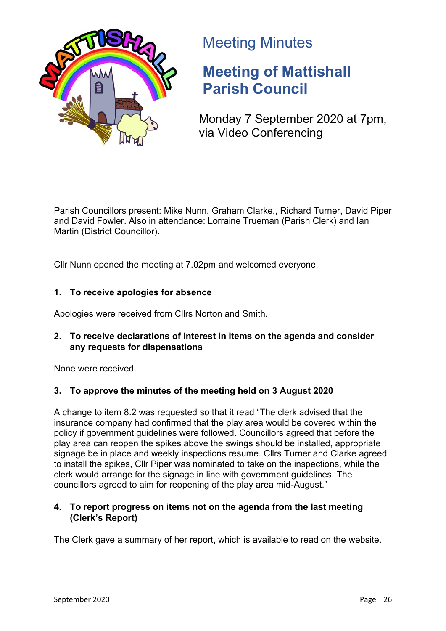

# Meeting Minutes

# **Meeting of Mattishall Parish Council**

Monday 7 September 2020 at 7pm, via Video Conferencing

Parish Councillors present: Mike Nunn, Graham Clarke,, Richard Turner, David Piper and David Fowler. Also in attendance: Lorraine Trueman (Parish Clerk) and Ian Martin (District Councillor).

Cllr Nunn opened the meeting at 7.02pm and welcomed everyone.

# **1. To receive apologies for absence**

Apologies were received from Cllrs Norton and Smith.

# **2. To receive declarations of interest in items on the agenda and consider any requests for dispensations**

None were received.

# **3. To approve the minutes of the meeting held on 3 August 2020**

A change to item 8.2 was requested so that it read "The clerk advised that the insurance company had confirmed that the play area would be covered within the policy if government guidelines were followed. Councillors agreed that before the play area can reopen the spikes above the swings should be installed, appropriate signage be in place and weekly inspections resume. Cllrs Turner and Clarke agreed to install the spikes, Cllr Piper was nominated to take on the inspections, while the clerk would arrange for the signage in line with government guidelines. The councillors agreed to aim for reopening of the play area mid-August."

# **4. To report progress on items not on the agenda from the last meeting (Clerk's Report)**

The Clerk gave a summary of her report, which is available to read on the website.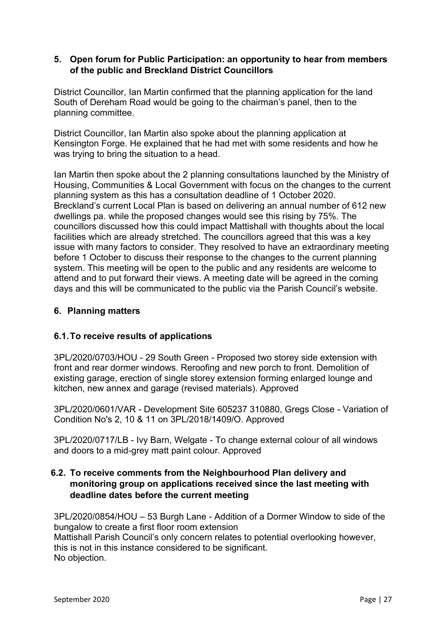#### **5. Open forum for Public Participation: an opportunity to hear from members of the public and Breckland District Councillors**

District Councillor, Ian Martin confirmed that the planning application for the land South of Dereham Road would be going to the chairman's panel, then to the planning committee.

District Councillor, Ian Martin also spoke about the planning application at Kensington Forge. He explained that he had met with some residents and how he was trying to bring the situation to a head.

Ian Martin then spoke about the 2 planning consultations launched by the Ministry of Housing, Communities & Local Government with focus on the changes to the current planning system as this has a consultation deadline of 1 October 2020. Breckland's current Local Plan is based on delivering an annual number of 612 new dwellings pa. while the proposed changes would see this rising by 75%. The councillors discussed how this could impact Mattishall with thoughts about the local facilities which are already stretched. The councillors agreed that this was a key issue with many factors to consider. They resolved to have an extraordinary meeting before 1 October to discuss their response to the changes to the current planning system. This meeting will be open to the public and any residents are welcome to attend and to put forward their views. A meeting date will be agreed in the coming days and this will be communicated to the public via the Parish Council's website.

#### **6. Planning matters**

# **6.1.To receive results of applications**

3PL/2020/0703/HOU - 29 South Green - Proposed two storey side extension with front and rear dormer windows. Reroofing and new porch to front. Demolition of existing garage, erection of single storey extension forming enlarged lounge and kitchen, new annex and garage (revised materials). Approved

3PL/2020/0601/VAR - Development Site 605237 310880, Gregs Close - Variation of Condition No's 2, 10 & 11 on 3PL/2018/1409/O. Approved

3PL/2020/0717/LB - Ivy Barn, Welgate - To change external colour of all windows and doors to a mid-grey matt paint colour. Approved

# **6.2. To receive comments from the Neighbourhood Plan delivery and monitoring group on applications received since the last meeting with deadline dates before the current meeting**

3PL/2020/0854/HOU – 53 Burgh Lane - Addition of a Dormer Window to side of the bungalow to create a first floor room extension Mattishall Parish Council's only concern relates to potential overlooking however, this is not in this instance considered to be significant. No objection.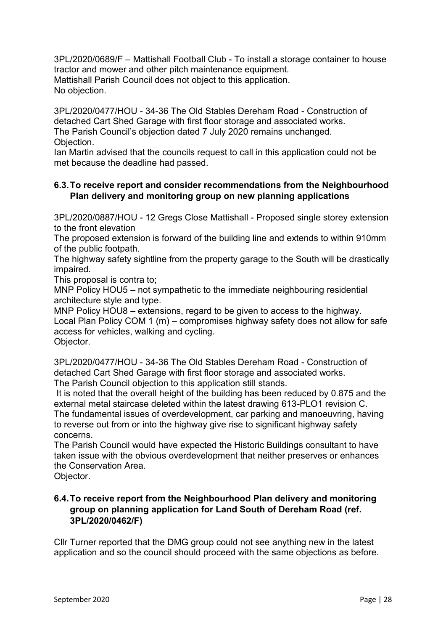3PL/2020/0689/F – Mattishall Football Club - To install a storage container to house tractor and mower and other pitch maintenance equipment. Mattishall Parish Council does not object to this application. No objection.

3PL/2020/0477/HOU - 34-36 The Old Stables Dereham Road - Construction of detached Cart Shed Garage with first floor storage and associated works. The Parish Council's objection dated 7 July 2020 remains unchanged. Objection.

Ian Martin advised that the councils request to call in this application could not be met because the deadline had passed.

# **6.3.To receive report and consider recommendations from the Neighbourhood Plan delivery and monitoring group on new planning applications**

3PL/2020/0887/HOU - 12 Gregs Close Mattishall - Proposed single storey extension to the front elevation

The proposed extension is forward of the building line and extends to within 910mm of the public footpath.

The highway safety sightline from the property garage to the South will be drastically impaired.

This proposal is contra to;

MNP Policy HOU5 – not sympathetic to the immediate neighbouring residential architecture style and type.

MNP Policy HOU8 – extensions, regard to be given to access to the highway. Local Plan Policy COM 1 (m) – compromises highway safety does not allow for safe access for vehicles, walking and cycling. Objector.

3PL/2020/0477/HOU - 34-36 The Old Stables Dereham Road - Construction of detached Cart Shed Garage with first floor storage and associated works. The Parish Council objection to this application still stands.

It is noted that the overall height of the building has been reduced by 0.875 and the external metal staircase deleted within the latest drawing 613-PLO1 revision C. The fundamental issues of overdevelopment, car parking and manoeuvring, having to reverse out from or into the highway give rise to significant highway safety concerns.

The Parish Council would have expected the Historic Buildings consultant to have taken issue with the obvious overdevelopment that neither preserves or enhances the Conservation Area.

Objector.

# **6.4.To receive report from the Neighbourhood Plan delivery and monitoring group on planning application for Land South of Dereham Road (ref. 3PL/2020/0462/F)**

Cllr Turner reported that the DMG group could not see anything new in the latest application and so the council should proceed with the same objections as before.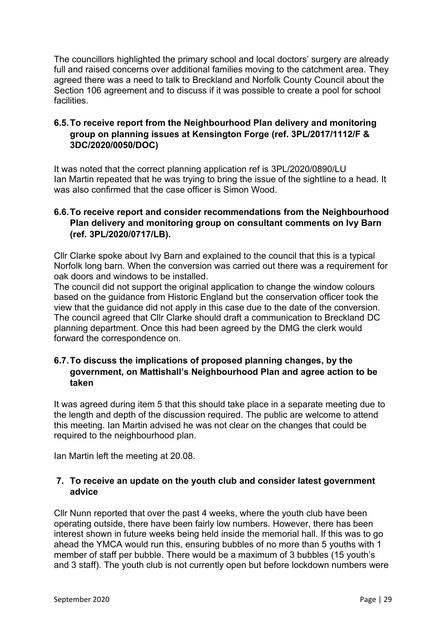The councillors highlighted the primary school and local doctors' surgery are already full and raised concerns over additional families moving to the catchment area. They agreed there was a need to talk to Breckland and Norfolk County Council about the Section 106 agreement and to discuss if it was possible to create a pool for school facilities.

# **6.5.To receive report from the Neighbourhood Plan delivery and monitoring group on planning issues at Kensington Forge (ref. 3PL/2017/1112/F & 3DC/2020/0050/DOC)**

It was noted that the correct planning application ref is [3PL/2020/0890/LU](http://planning.breckland.gov.uk/OcellaWeb/planningDetails?reference=3PL/2020/0890/LU&from=planningSearch) Ian Martin repeated that he was trying to bring the issue of the sightline to a head. It was also confirmed that the case officer is Simon Wood.

# **6.6.To receive report and consider recommendations from the Neighbourhood Plan delivery and monitoring group on consultant comments on Ivy Barn (ref. 3PL/2020/0717/LB).**

Cllr Clarke spoke about Ivy Barn and explained to the council that this is a typical Norfolk long barn. When the conversion was carried out there was a requirement for oak doors and windows to be installed.

The council did not support the original application to change the window colours based on the guidance from Historic England but the conservation officer took the view that the guidance did not apply in this case due to the date of the conversion. The council agreed that Cllr Clarke should draft a communication to Breckland DC planning department. Once this had been agreed by the DMG the clerk would forward the correspondence on.

# **6.7.To discuss the implications of proposed planning changes, by the government, on Mattishall's Neighbourhood Plan and agree action to be taken**

It was agreed during item 5 that this should take place in a separate meeting due to the length and depth of the discussion required. The public are welcome to attend this meeting. Ian Martin advised he was not clear on the changes that could be required to the neighbourhood plan.

Ian Martin left the meeting at 20.08.

# **7. To receive an update on the youth club and consider latest government advice**

Cllr Nunn reported that over the past 4 weeks, where the youth club have been operating outside, there have been fairly low numbers. However, there has been interest shown in future weeks being held inside the memorial hall. If this was to go ahead the YMCA would run this, ensuring bubbles of no more than 5 youths with 1 member of staff per bubble. There would be a maximum of 3 bubbles (15 youth's and 3 staff). The youth club is not currently open but before lockdown numbers were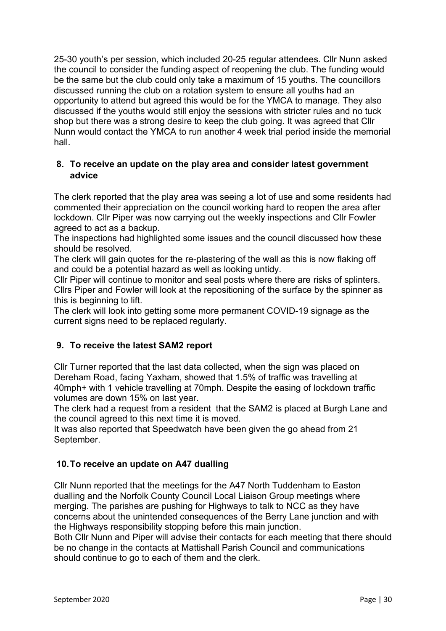25-30 youth's per session, which included 20-25 regular attendees. Cllr Nunn asked the council to consider the funding aspect of reopening the club. The funding would be the same but the club could only take a maximum of 15 youths. The councillors discussed running the club on a rotation system to ensure all youths had an opportunity to attend but agreed this would be for the YMCA to manage. They also discussed if the youths would still enjoy the sessions with stricter rules and no tuck shop but there was a strong desire to keep the club going. It was agreed that Cllr Nunn would contact the YMCA to run another 4 week trial period inside the memorial hall.

# **8. To receive an update on the play area and consider latest government advice**

The clerk reported that the play area was seeing a lot of use and some residents had commented their appreciation on the council working hard to reopen the area after lockdown. Cllr Piper was now carrying out the weekly inspections and Cllr Fowler agreed to act as a backup.

The inspections had highlighted some issues and the council discussed how these should be resolved.

The clerk will gain quotes for the re-plastering of the wall as this is now flaking off and could be a potential hazard as well as looking untidy.

Cllr Piper will continue to monitor and seal posts where there are risks of splinters. Cllrs Piper and Fowler will look at the repositioning of the surface by the spinner as this is beginning to lift.

The clerk will look into getting some more permanent COVID-19 signage as the current signs need to be replaced regularly.

# **9. To receive the latest SAM2 report**

Cllr Turner reported that the last data collected, when the sign was placed on Dereham Road, facing Yaxham, showed that 1.5% of traffic was travelling at 40mph+ with 1 vehicle travelling at 70mph. Despite the easing of lockdown traffic volumes are down 15% on last year.

The clerk had a request from a resident that the SAM2 is placed at Burgh Lane and the council agreed to this next time it is moved.

It was also reported that Speedwatch have been given the go ahead from 21 September.

# **10.To receive an update on A47 dualling**

Cllr Nunn reported that the meetings for the A47 North Tuddenham to Easton dualling and the Norfolk County Council Local Liaison Group meetings where merging. The parishes are pushing for Highways to talk to NCC as they have concerns about the unintended consequences of the Berry Lane junction and with the Highways responsibility stopping before this main junction.

Both Cllr Nunn and Piper will advise their contacts for each meeting that there should be no change in the contacts at Mattishall Parish Council and communications should continue to go to each of them and the clerk.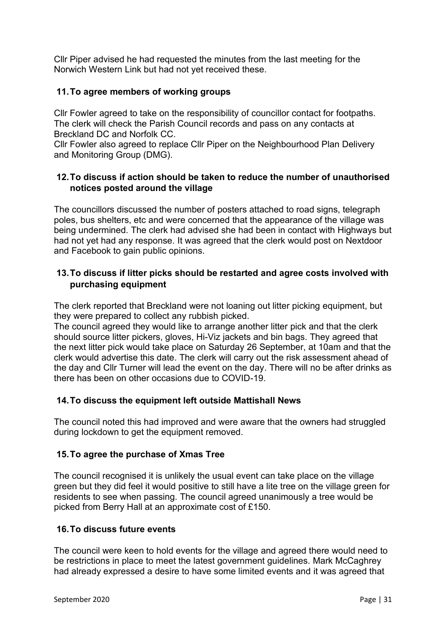Cllr Piper advised he had requested the minutes from the last meeting for the Norwich Western Link but had not yet received these.

# **11.To agree members of working groups**

Cllr Fowler agreed to take on the responsibility of councillor contact for footpaths. The clerk will check the Parish Council records and pass on any contacts at Breckland DC and Norfolk CC.

Cllr Fowler also agreed to replace Cllr Piper on the Neighbourhood Plan Delivery and Monitoring Group (DMG).

#### **12.To discuss if action should be taken to reduce the number of unauthorised notices posted around the village**

The councillors discussed the number of posters attached to road signs, telegraph poles, bus shelters, etc and were concerned that the appearance of the village was being undermined. The clerk had advised she had been in contact with Highways but had not yet had any response. It was agreed that the clerk would post on Nextdoor and Facebook to gain public opinions.

#### **13.To discuss if litter picks should be restarted and agree costs involved with purchasing equipment**

The clerk reported that Breckland were not loaning out litter picking equipment, but they were prepared to collect any rubbish picked.

The council agreed they would like to arrange another litter pick and that the clerk should source litter pickers, gloves, Hi-Viz jackets and bin bags. They agreed that the next litter pick would take place on Saturday 26 September, at 10am and that the clerk would advertise this date. The clerk will carry out the risk assessment ahead of the day and Cllr Turner will lead the event on the day. There will no be after drinks as there has been on other occasions due to COVID-19.

#### **14.To discuss the equipment left outside Mattishall News**

The council noted this had improved and were aware that the owners had struggled during lockdown to get the equipment removed.

# **15.To agree the purchase of Xmas Tree**

The council recognised it is unlikely the usual event can take place on the village green but they did feel it would positive to still have a lite tree on the village green for residents to see when passing. The council agreed unanimously a tree would be picked from Berry Hall at an approximate cost of £150.

#### **16.To discuss future events**

The council were keen to hold events for the village and agreed there would need to be restrictions in place to meet the latest government guidelines. Mark McCaghrey had already expressed a desire to have some limited events and it was agreed that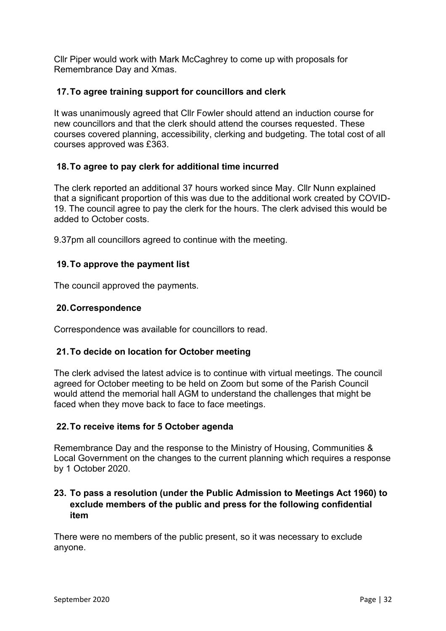Cllr Piper would work with Mark McCaghrey to come up with proposals for Remembrance Day and Xmas.

# **17.To agree training support for councillors and clerk**

It was unanimously agreed that Cllr Fowler should attend an induction course for new councillors and that the clerk should attend the courses requested. These courses covered planning, accessibility, clerking and budgeting. The total cost of all courses approved was £363.

# **18.To agree to pay clerk for additional time incurred**

The clerk reported an additional 37 hours worked since May. Cllr Nunn explained that a significant proportion of this was due to the additional work created by COVID-19. The council agree to pay the clerk for the hours. The clerk advised this would be added to October costs.

9.37pm all councillors agreed to continue with the meeting.

# **19.To approve the payment list**

The council approved the payments.

#### **20.Correspondence**

Correspondence was available for councillors to read.

# **21.To decide on location for October meeting**

The clerk advised the latest advice is to continue with virtual meetings. The council agreed for October meeting to be held on Zoom but some of the Parish Council would attend the memorial hall AGM to understand the challenges that might be faced when they move back to face to face meetings.

#### **22.To receive items for 5 October agenda**

Remembrance Day and the response to the Ministry of Housing, Communities & Local Government on the changes to the current planning which requires a response by 1 October 2020.

# **23. To pass a resolution (under the Public Admission to Meetings Act 1960) to exclude members of the public and press for the following confidential item**

There were no members of the public present, so it was necessary to exclude anyone.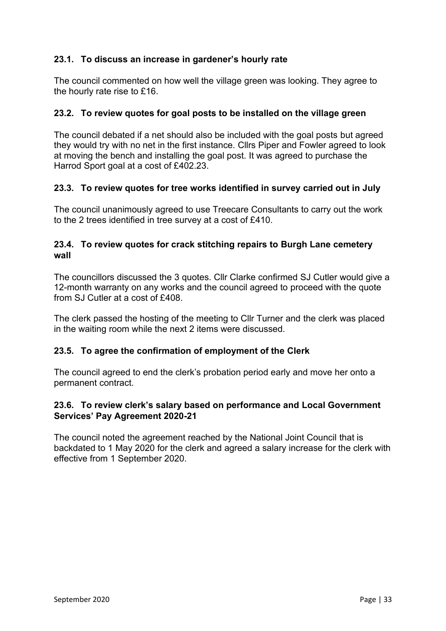# **23.1. To discuss an increase in gardener's hourly rate**

The council commented on how well the village green was looking. They agree to the hourly rate rise to £16.

#### **23.2. To review quotes for goal posts to be installed on the village green**

The council debated if a net should also be included with the goal posts but agreed they would try with no net in the first instance. Cllrs Piper and Fowler agreed to look at moving the bench and installing the goal post. It was agreed to purchase the Harrod Sport goal at a cost of £402.23.

#### **23.3. To review quotes for tree works identified in survey carried out in July**

The council unanimously agreed to use Treecare Consultants to carry out the work to the 2 trees identified in tree survey at a cost of £410.

#### **23.4. To review quotes for crack stitching repairs to Burgh Lane cemetery wall**

The councillors discussed the 3 quotes. Cllr Clarke confirmed SJ Cutler would give a 12-month warranty on any works and the council agreed to proceed with the quote from SJ Cutler at a cost of £408.

The clerk passed the hosting of the meeting to Cllr Turner and the clerk was placed in the waiting room while the next 2 items were discussed.

#### **23.5. To agree the confirmation of employment of the Clerk**

The council agreed to end the clerk's probation period early and move her onto a permanent contract.

#### **23.6. To review clerk's salary based on performance and Local Government Services' Pay Agreement 2020-21**

The council noted the agreement reached by the National Joint Council that is backdated to 1 May 2020 for the clerk and agreed a salary increase for the clerk with effective from 1 September 2020.